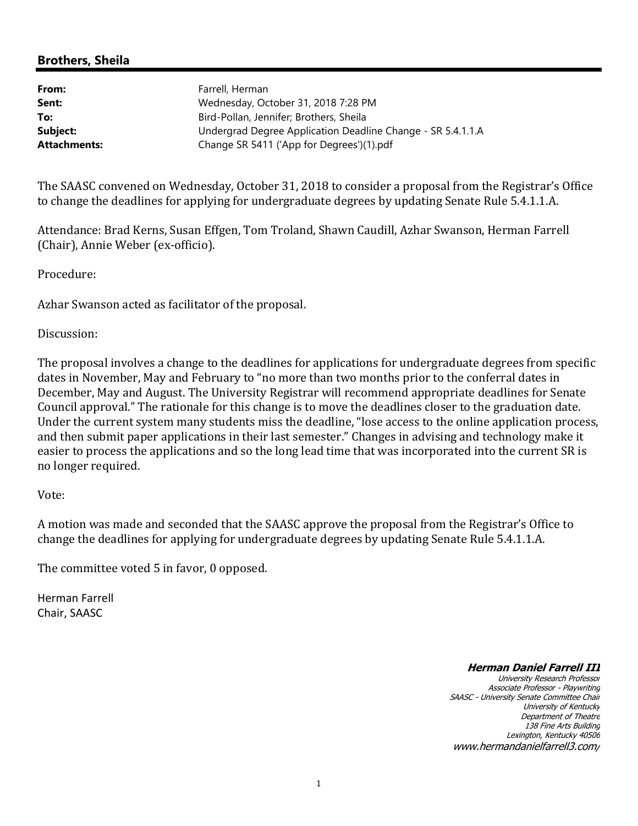#### **Brothers, Sheila**

| Farrell, Herman                                             |
|-------------------------------------------------------------|
| Wednesday, October 31, 2018 7:28 PM                         |
| Bird-Pollan, Jennifer; Brothers, Sheila                     |
| Undergrad Degree Application Deadline Change - SR 5.4.1.1.A |
| Change SR 5411 ('App for Degrees')(1).pdf                   |
|                                                             |

The SAASC convened on Wednesday, October 31, 2018 to consider a proposal from the Registrar's Office to change the deadlines for applying for undergraduate degrees by updating Senate Rule 5.4.1.1.A.

Attendance: Brad Kerns, Susan Effgen, Tom Troland, Shawn Caudill, Azhar Swanson, Herman Farrell (Chair), Annie Weber (ex-officio).

Procedure:

Azhar Swanson acted as facilitator of the proposal.

Discussion:

The proposal involves a change to the deadlines for applications for undergraduate degrees from specific dates in November, May and February to "no more than two months prior to the conferral dates in December, May and August. The University Registrar will recommend appropriate deadlines for Senate Council approval." The rationale for this change is to move the deadlines closer to the graduation date. Under the current system many students miss the deadline, "lose access to the online application process, and then submit paper applications in their last semester." Changes in advising and technology make it easier to process the applications and so the long lead time that was incorporated into the current SR is no longer required.

#### Vote:

A motion was made and seconded that the SAASC approve the proposal from the Registrar's Office to change the deadlines for applying for undergraduate degrees by updating Senate Rule 5.4.1.1.A.

The committee voted 5 in favor, 0 opposed.

Herman Farrell Chair, SAASC

#### **Herman Daniel Farrell III**

University Research Professor Associate Professor - Playwriting SAASC - University Senate Committee Chair University of Kentucky Department of Theatre 138 Fine Arts Building Lexington, Kentucky 40506 www.hermandanielfarrell3.com/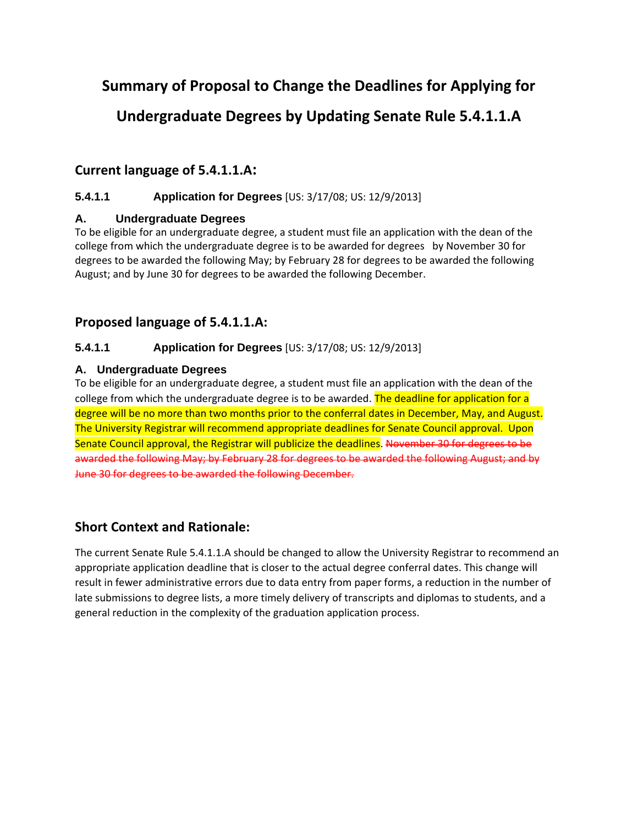# **Summary of Proposal to Change the Deadlines for Applying for**

# **Undergraduate Degrees by Updating Senate Rule 5.4.1.1.A**

## **Current language of 5.4.1.1.A:**

#### **5.4.1.1 Application for Degrees** [US: 3/17/08; US: 12/9/2013]

#### **A. Undergraduate Degrees**

To be eligible for an undergraduate degree, a student must file an application with the dean of the college from which the undergraduate degree is to be awarded for degrees by November 30 for degrees to be awarded the following May; by February 28 for degrees to be awarded the following August; and by June 30 for degrees to be awarded the following December.

## **Proposed language of 5.4.1.1.A:**

#### **5.4.1.1 Application for Degrees** [US: 3/17/08; US: 12/9/2013]

#### **A. Undergraduate Degrees**

To be eligible for an undergraduate degree, a student must file an application with the dean of the college from which the undergraduate degree is to be awarded. The deadline for application for a degree will be no more than two months prior to the conferral dates in December, May, and August. The University Registrar will recommend appropriate deadlines for Senate Council approval. Upon Senate Council approval, the Registrar will publicize the deadlines. November 30 for degrees to be awarded the following May; by February 28 for degrees to be awarded the following August; and by June 30 for degrees to be awarded the following December.

## **Short Context and Rationale:**

The current Senate Rule 5.4.1.1.A should be changed to allow the University Registrar to recommend an appropriate application deadline that is closer to the actual degree conferral dates. This change will result in fewer administrative errors due to data entry from paper forms, a reduction in the number of late submissions to degree lists, a more timely delivery of transcripts and diplomas to students, and a general reduction in the complexity of the graduation application process.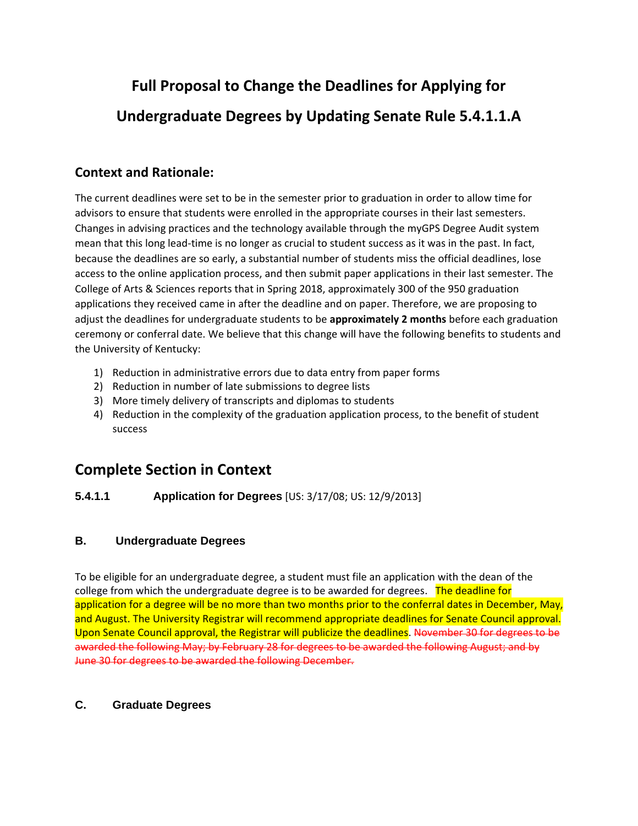# **Full Proposal to Change the Deadlines for Applying for Undergraduate Degrees by Updating Senate Rule 5.4.1.1.A**

## **Context and Rationale:**

The current deadlines were set to be in the semester prior to graduation in order to allow time for advisors to ensure that students were enrolled in the appropriate courses in their last semesters. Changes in advising practices and the technology available through the myGPS Degree Audit system mean that this long lead-time is no longer as crucial to student success as it was in the past. In fact, because the deadlines are so early, a substantial number of students miss the official deadlines, lose access to the online application process, and then submit paper applications in their last semester. The College of Arts & Sciences reports that in Spring 2018, approximately 300 of the 950 graduation applications they received came in after the deadline and on paper. Therefore, we are proposing to adjust the deadlines for undergraduate students to be **approximately 2 months** before each graduation ceremony or conferral date. We believe that this change will have the following benefits to students and the University of Kentucky:

- 1) Reduction in administrative errors due to data entry from paper forms
- 2) Reduction in number of late submissions to degree lists
- 3) More timely delivery of transcripts and diplomas to students
- 4) Reduction in the complexity of the graduation application process, to the benefit of student success

# **Complete Section in Context**

#### **5.4.1.1 Application for Degrees** [US: 3/17/08; US: 12/9/2013]

#### **B. Undergraduate Degrees**

To be eligible for an undergraduate degree, a student must file an application with the dean of the college from which the undergraduate degree is to be awarded for degrees. The deadline for application for a degree will be no more than two months prior to the conferral dates in December, May, and August. The University Registrar will recommend appropriate deadlines for Senate Council approval. Upon Senate Council approval, the Registrar will publicize the deadlines. November 30 for degrees to be awarded the following May; by February 28 for degrees to be awarded the following August; and by June 30 for degrees to be awarded the following December.

#### **C. Graduate Degrees**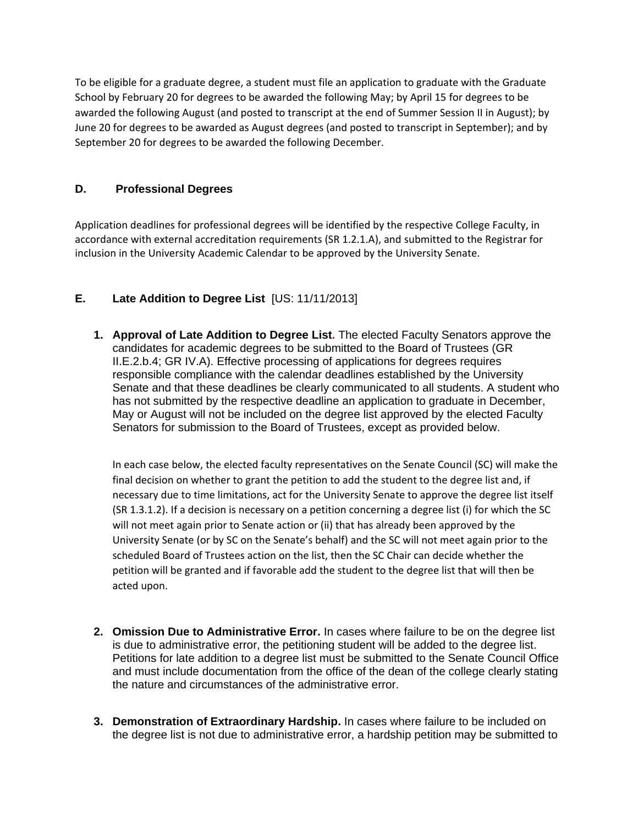To be eligible for a graduate degree, a student must file an application to graduate with the Graduate School by February 20 for degrees to be awarded the following May; by April 15 for degrees to be awarded the following August (and posted to transcript at the end of Summer Session II in August); by June 20 for degrees to be awarded as August degrees (and posted to transcript in September); and by September 20 for degrees to be awarded the following December.

#### **D. Professional Degrees**

Application deadlines for professional degrees will be identified by the respective College Faculty, in accordance with external accreditation requirements (SR 1.2.1.A), and submitted to the Registrar for inclusion in the University Academic Calendar to be approved by the University Senate.

#### **E. Late Addition to Degree List** [US: 11/11/2013]

**1. Approval of Late Addition to Degree List.** The elected Faculty Senators approve the candidates for academic degrees to be submitted to the Board of Trustees (GR II.E.2.b.4; GR IV.A). Effective processing of applications for degrees requires responsible compliance with the calendar deadlines established by the University Senate and that these deadlines be clearly communicated to all students. A student who has not submitted by the respective deadline an application to graduate in December, May or August will not be included on the degree list approved by the elected Faculty Senators for submission to the Board of Trustees, except as provided below.

In each case below, the elected faculty representatives on the Senate Council (SC) will make the final decision on whether to grant the petition to add the student to the degree list and, if necessary due to time limitations, act for the University Senate to approve the degree list itself (SR 1.3.1.2). If a decision is necessary on a petition concerning a degree list (i) for which the SC will not meet again prior to Senate action or (ii) that has already been approved by the University Senate (or by SC on the Senate's behalf) and the SC will not meet again prior to the scheduled Board of Trustees action on the list, then the SC Chair can decide whether the petition will be granted and if favorable add the student to the degree list that will then be acted upon.

- **2. Omission Due to Administrative Error.** In cases where failure to be on the degree list is due to administrative error, the petitioning student will be added to the degree list. Petitions for late addition to a degree list must be submitted to the Senate Council Office and must include documentation from the office of the dean of the college clearly stating the nature and circumstances of the administrative error.
- **3. Demonstration of Extraordinary Hardship.** In cases where failure to be included on the degree list is not due to administrative error, a hardship petition may be submitted to